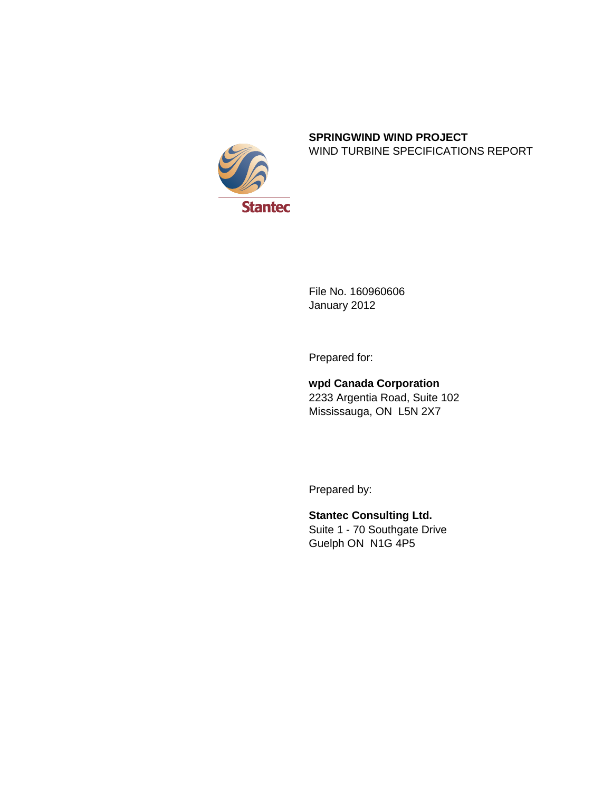

#### **SPRINGWIND WIND PROJECT** WIND TURBINE SPECIFICATIONS REPORT

File No. 160960606 January 2012

Prepared for:

**wpd Canada Corporation** 2233 Argentia Road, Suite 102 Mississauga, ON L5N 2X7

Prepared by:

**Stantec Consulting Ltd.** Suite 1 - 70 Southgate Drive Guelph ON N1G 4P5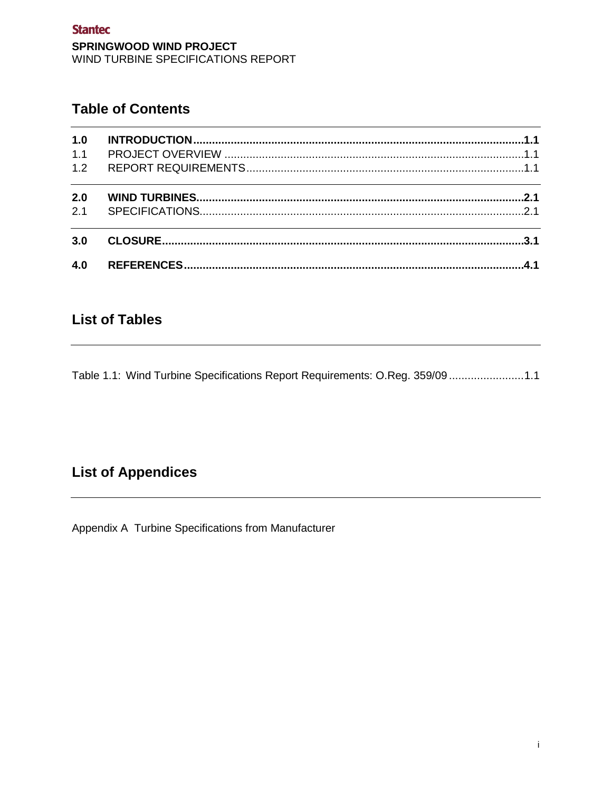## **Table of Contents**

| 1.0 |  |
|-----|--|
| 1.1 |  |
| 1.2 |  |
| 2.0 |  |
| 2.1 |  |
| 3.0 |  |
| 4.0 |  |

## **List of Tables**

Table 1.1: Wind Turbine Specifications Report Requirements: O.Reg. 359/09 .......................1.1

# **List of Appendices**

Appendix A Turbine Specifications from Manufacturer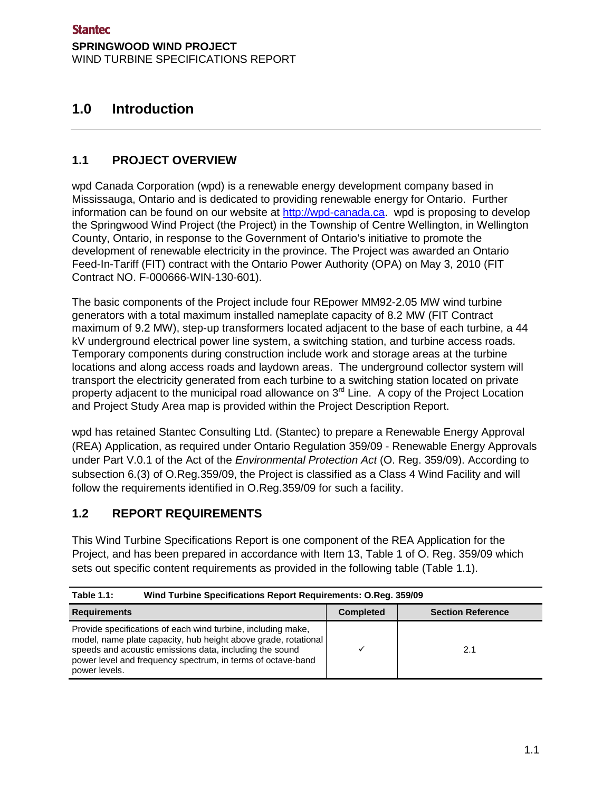## <span id="page-4-0"></span>**1.0 Introduction**

### <span id="page-4-1"></span>**1.1 PROJECT OVERVIEW**

wpd Canada Corporation (wpd) is a renewable energy development company based in Mississauga, Ontario and is dedicated to providing renewable energy for Ontario. Further information can be found on our website at [http://wpd-canada.ca.](http://wpd-canada.ca/) wpd is proposing to develop the Springwood Wind Project (the Project) in the Township of Centre Wellington, in Wellington County, Ontario, in response to the Government of Ontario's initiative to promote the development of renewable electricity in the province. The Project was awarded an Ontario Feed-In-Tariff (FIT) contract with the Ontario Power Authority (OPA) on May 3, 2010 (FIT Contract NO. F-000666-WIN-130-601).

The basic components of the Project include four REpower MM92-2.05 MW wind turbine generators with a total maximum installed nameplate capacity of 8.2 MW (FIT Contract maximum of 9.2 MW), step-up transformers located adjacent to the base of each turbine, a 44 kV underground electrical power line system, a switching station, and turbine access roads. Temporary components during construction include work and storage areas at the turbine locations and along access roads and laydown areas. The underground collector system will transport the electricity generated from each turbine to a switching station located on private property adjacent to the municipal road allowance on  $3<sup>rd</sup>$  Line. A copy of the Project Location and Project Study Area map is provided within the Project Description Report.

wpd has retained Stantec Consulting Ltd. (Stantec) to prepare a Renewable Energy Approval (REA) Application, as required under Ontario Regulation 359/09 - Renewable Energy Approvals under Part V.0.1 of the Act of the *Environmental Protection Act* (O. Reg. 359/09). According to subsection 6.(3) of O.Reg.359/09, the Project is classified as a Class 4 Wind Facility and will follow the requirements identified in O.Reg.359/09 for such a facility.

#### <span id="page-4-2"></span>**1.2 REPORT REQUIREMENTS**

This Wind Turbine Specifications Report is one component of the REA Application for the Project, and has been prepared in accordance with Item 13, Table 1 of O. Reg. 359/09 which sets out specific content requirements as provided in the following table (Table 1.1).

<span id="page-4-3"></span>

| <b>Table 1.1:</b>                                                                                                                                                                                                                                                         | Wind Turbine Specifications Report Requirements: O.Reg. 359/09 |                          |  |
|---------------------------------------------------------------------------------------------------------------------------------------------------------------------------------------------------------------------------------------------------------------------------|----------------------------------------------------------------|--------------------------|--|
| <b>Requirements</b>                                                                                                                                                                                                                                                       | <b>Completed</b>                                               | <b>Section Reference</b> |  |
| Provide specifications of each wind turbine, including make,<br>model, name plate capacity, hub height above grade, rotational<br>speeds and acoustic emissions data, including the sound<br>power level and frequency spectrum, in terms of octave-band<br>power levels. |                                                                | 2.1                      |  |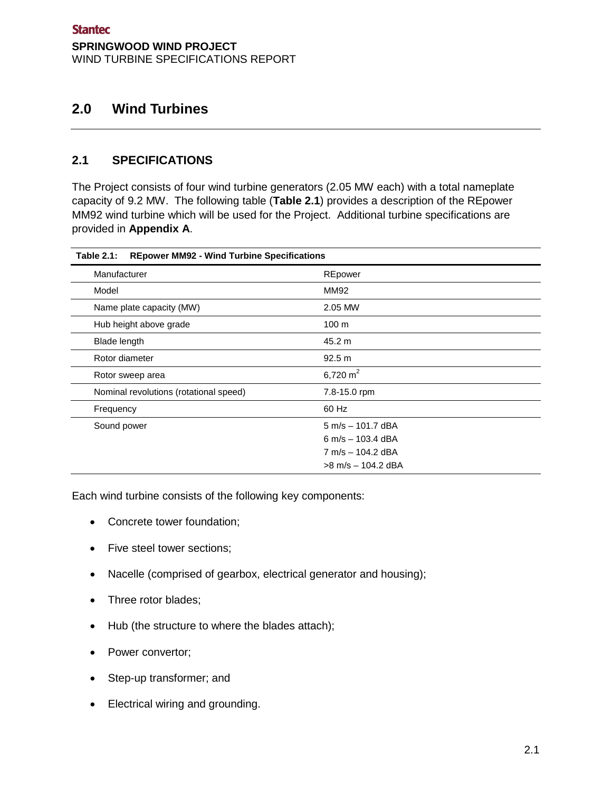## <span id="page-6-0"></span>**2.0 Wind Turbines**

#### <span id="page-6-1"></span>**2.1 SPECIFICATIONS**

The Project consists of four wind turbine generators (2.05 MW each) with a total nameplate capacity of 9.2 MW. The following table (**Table 2.1**) provides a description of the REpower MM92 wind turbine which will be used for the Project. Additional turbine specifications are provided in **Appendix A**.

| <b>REpower MM92 - Wind Turbine Specifications</b><br><b>Table 2.1:</b> |                                     |  |  |
|------------------------------------------------------------------------|-------------------------------------|--|--|
| Manufacturer                                                           | REpower                             |  |  |
| Model                                                                  | MM92                                |  |  |
| Name plate capacity (MW)                                               | 2.05 MW                             |  |  |
| Hub height above grade                                                 | 100 <sub>m</sub>                    |  |  |
| Blade length                                                           | 45.2 m                              |  |  |
| Rotor diameter                                                         | 92.5 m                              |  |  |
| Rotor sweep area                                                       | 6,720 m <sup>2</sup>                |  |  |
| Nominal revolutions (rotational speed)                                 | 7.8-15.0 rpm                        |  |  |
| Frequency                                                              | 60 Hz                               |  |  |
| Sound power                                                            | $5 \text{ m/s} - 101.7 \text{ dBA}$ |  |  |
|                                                                        | 6 m/s $-$ 103.4 dBA                 |  |  |
|                                                                        | 7 m/s - 104.2 dBA                   |  |  |
|                                                                        | $>8$ m/s $-$ 104.2 dBA              |  |  |

Each wind turbine consists of the following key components:

- Concrete tower foundation;
- Five steel tower sections;
- Nacelle (comprised of gearbox, electrical generator and housing);
- Three rotor blades;
- Hub (the structure to where the blades attach);
- Power convertor;
- Step-up transformer; and
- Electrical wiring and grounding.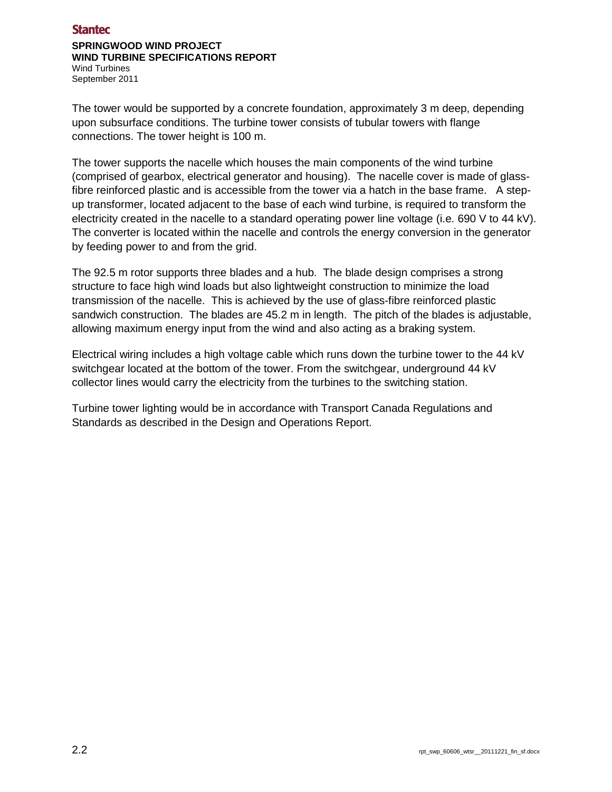#### **Stantec**

#### **SPRINGWOOD WIND PROJECT WIND TURBINE SPECIFICATIONS REPORT**

Wind Turbines September 2011

The tower would be supported by a concrete foundation, approximately 3 m deep, depending upon subsurface conditions. The turbine tower consists of tubular towers with flange connections. The tower height is 100 m.

The tower supports the nacelle which houses the main components of the wind turbine (comprised of gearbox, electrical generator and housing). The nacelle cover is made of glassfibre reinforced plastic and is accessible from the tower via a hatch in the base frame. A stepup transformer, located adjacent to the base of each wind turbine, is required to transform the electricity created in the nacelle to a standard operating power line voltage (i.e. 690 V to 44 kV). The converter is located within the nacelle and controls the energy conversion in the generator by feeding power to and from the grid.

The 92.5 m rotor supports three blades and a hub. The blade design comprises a strong structure to face high wind loads but also lightweight construction to minimize the load transmission of the nacelle. This is achieved by the use of glass-fibre reinforced plastic sandwich construction. The blades are 45.2 m in length. The pitch of the blades is adjustable, allowing maximum energy input from the wind and also acting as a braking system.

Electrical wiring includes a high voltage cable which runs down the turbine tower to the 44 kV switchgear located at the bottom of the tower. From the switchgear, underground 44 kV collector lines would carry the electricity from the turbines to the switching station.

Turbine tower lighting would be in accordance with Transport Canada Regulations and Standards as described in the Design and Operations Report.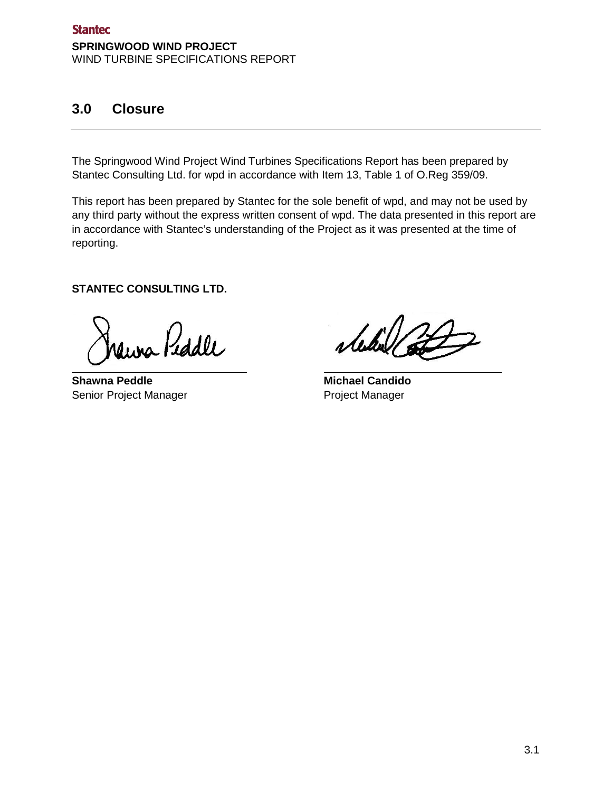## <span id="page-8-0"></span>**3.0 Closure**

The Springwood Wind Project Wind Turbines Specifications Report has been prepared by Stantec Consulting Ltd. for wpd in accordance with Item 13, Table 1 of O.Reg 359/09.

This report has been prepared by Stantec for the sole benefit of wpd, and may not be used by any third party without the express written consent of wpd. The data presented in this report are in accordance with Stantec's understanding of the Project as it was presented at the time of reporting.

**STANTEC CONSULTING LTD.**

aina Piddle

**Shawna Peddle Michael Candido** Senior Project Manager **Project Manager** Project Manager

stertil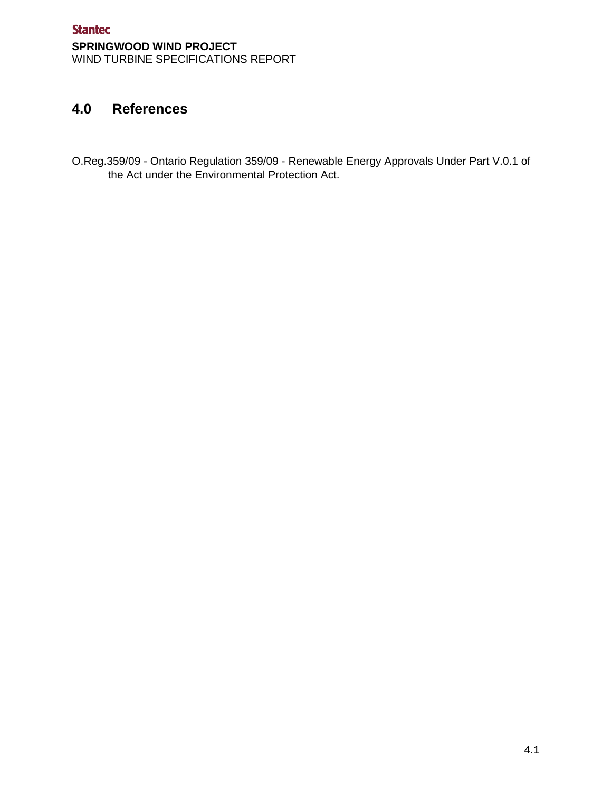## <span id="page-10-0"></span>**4.0 References**

O.Reg.359/09 - Ontario Regulation 359/09 - Renewable Energy Approvals Under Part V.0.1 of the Act under the Environmental Protection Act.